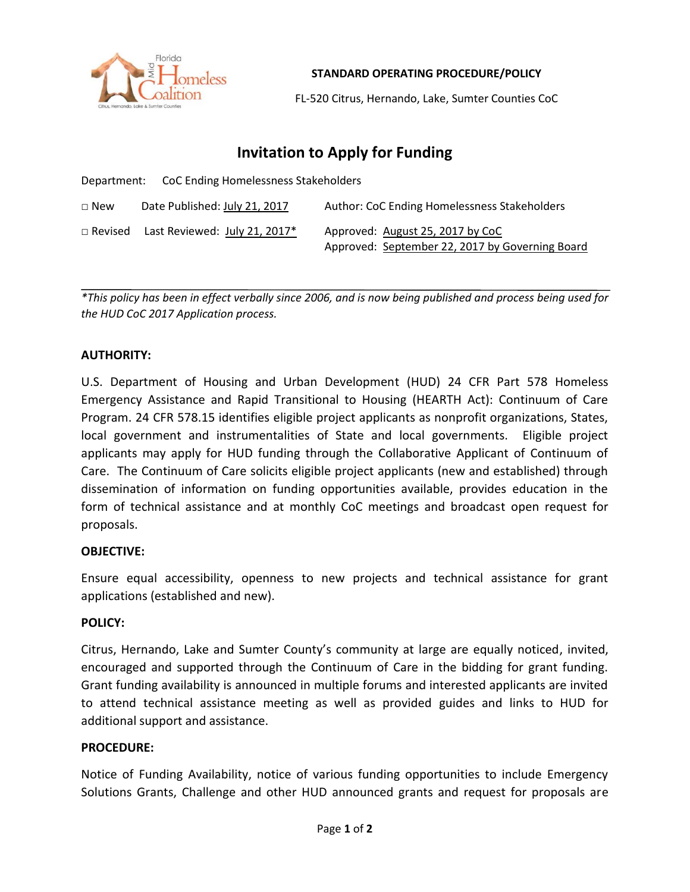

**STANDARD OPERATING PROCEDURE/POLICY**

FL-520 Citrus, Hernando, Lake, Sumter Counties CoC

# **Invitation to Apply for Funding**

Department: CoC Ending Homelessness Stakeholders

| $\Box$ New     | Date Published: July 21, 2017    | Author: CoC Ending Homelessness Stakeholders                                        |
|----------------|----------------------------------|-------------------------------------------------------------------------------------|
| $\Box$ Revised | Last Reviewed: July 21, 2017 $*$ | Approved: August 25, 2017 by CoC<br>Approved: September 22, 2017 by Governing Board |

*\*This policy has been in effect verbally since 2006, and is now being published and process being used for the HUD CoC 2017 Application process.*

## **AUTHORITY:**

U.S. Department of Housing and Urban Development (HUD) 24 CFR Part 578 Homeless Emergency Assistance and Rapid Transitional to Housing (HEARTH Act): Continuum of Care Program. 24 CFR 578.15 identifies eligible project applicants as nonprofit organizations, States, local government and instrumentalities of State and local governments. Eligible project applicants may apply for HUD funding through the Collaborative Applicant of Continuum of Care. The Continuum of Care solicits eligible project applicants (new and established) through dissemination of information on funding opportunities available, provides education in the form of technical assistance and at monthly CoC meetings and broadcast open request for proposals.

### **OBJECTIVE:**

Ensure equal accessibility, openness to new projects and technical assistance for grant applications (established and new).

### **POLICY:**

Citrus, Hernando, Lake and Sumter County's community at large are equally noticed, invited, encouraged and supported through the Continuum of Care in the bidding for grant funding. Grant funding availability is announced in multiple forums and interested applicants are invited to attend technical assistance meeting as well as provided guides and links to HUD for additional support and assistance.

### **PROCEDURE:**

Notice of Funding Availability, notice of various funding opportunities to include Emergency Solutions Grants, Challenge and other HUD announced grants and request for proposals are